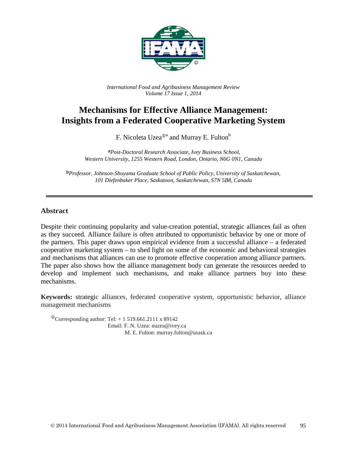

*International Food and Agribusiness Management Review Volume 17 Issue 1, 2014*

# **Mechanisms for Effective Alliance Management: Insights from a Federated Cooperative Marketing System**

F. Nicoleta Uzea<sup> $0a$ </sup> and Murray E. Fulton<sup>b</sup>

**a***Post-Doctoral Research Associate, Ivey Business School, Western University, 1255 Western Road, London, Ontario, N6G 0N1, Canada*

**b***Professor, Johnson-Shoyama Graduate School of Public Policy, University of Saskatchewan, 101 Diefenbaker Place, Saskatoon, Saskatchewan, S7N 5B8, Canada*

### **Abstract**

Despite their continuing popularity and value-creation potential, strategic alliances fail as often as they succeed. Alliance failure is often attributed to opportunistic behavior by one or more of the partners. This paper draws upon empirical evidence from a successful alliance – a federated cooperative marketing system – to shed light on some of the economic and behavioral strategies and mechanisms that alliances can use to promote effective cooperation among alliance partners. The paper also shows how the alliance management body can generate the resources needed to develop and implement such mechanisms, and make alliance partners buy into these mechanisms.

**Keywords:** strategic alliances, federated cooperative system, opportunistic behavior, alliance management mechanisms

<sup> $\Phi$ </sup>Corresponding author: Tel: + 1 519.661.2111 x 89142 Email: F. N. Uzea: nuzea@ivey.ca M. E. Fulton: murray.fulton@usask.ca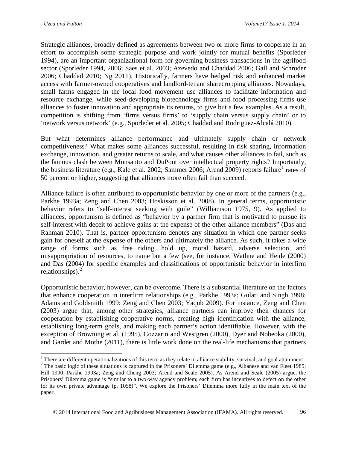Strategic alliances, broadly defined as agreements between two or more firms to cooperate in an effort to accomplish some strategic purpose and work jointly for mutual benefits (Sporleder 1994), are an important organizational form for governing business transactions in the agrifood sector (Sporleder 1994, 2006; Saes et al. 2003; Azevedo and Chaddad 2006; Gall and Schroder 2006; Chaddad 2010; Ng 2011). Historically, farmers have hedged risk and enhanced market access with farmer-owned cooperatives and landlord-tenant sharecropping alliances. Nowadays, small farms engaged in the local food movement use alliances to facilitate information and resource exchange, while seed-developing biotechnology firms and food processing firms use alliances to foster innovation and appropriate its returns, to give but a few examples. As a result, competition is shifting from 'firms versus firms' to 'supply chain versus supply chain' or to 'network versus network' (e.g., Sporleder et al. 2005; Chaddad and Rodriguez-Alcalá 2010).

But what determines alliance performance and ultimately supply chain or network competitiveness? What makes some alliances successful, resulting in risk sharing, information exchange, innovation, and greater returns to scale, and what causes other alliances to fail, such as the famous clash between Monsanto and DuPont over intellectual property rights? Importantly, the business literature (e.g., Kale et al. 2002; Sammer 2006; Arend 2009) reports failure<sup>[1](#page-1-0)</sup> rates of 50 percent or higher, suggesting that alliances more often fail than succeed.

Alliance failure is often attributed to opportunistic behavior by one or more of the partners (e.g., Parkhe 1993a; Zeng and Chen 2003; Hoskisson et al. 2008). In general terms, opportunistic behavior refers to "self-interest seeking with guile" (Williamson 1975, 9). As applied to alliances, opportunism is defined as "behavior by a partner firm that is motivated to pursue its self-interest with deceit to achieve gains at the expense of the other alliance members" (Das and Rahman 2010). That is, partner opportunism denotes any situation in which one partner seeks gain for oneself at the expense of the others and ultimately the alliance. As such, it takes a wide range of forms such as free riding, hold up, moral hazard, adverse selection, and misappropriation of resources, to name but a few (see, for instance, Wathne and Heide (2000) and Das (2004) for specific examples and classifications of opportunistic behavior in interfirm relationships). $<sup>2</sup>$  $<sup>2</sup>$  $<sup>2</sup>$ </sup>

Opportunistic behavior, however, can be overcome. There is a substantial literature on the factors that enhance cooperation in interfirm relationships (e.g., Parkhe 1993a; Gulati and Singh 1998; Adams and Goldsmith 1999; Zeng and Chen 2003; Yaqub 2009). For instance, Zeng and Chen (2003) argue that, among other strategies, alliance partners can improve their chances for cooperation by establishing cooperative norms, creating high identification with the alliance, establishing long-term goals, and making each partner's action identifiable. However, with the exception of Browning et al. (1995), Cozzarin and Westgren (2000), Dyer and Nobeoka (2000), and Gardet and Mothe (2011), there is little work done on the real-life mechanisms that partners

<span id="page-1-1"></span><span id="page-1-0"></span><sup>&</sup>lt;sup>1</sup> There are different operationalizations of this term as they relate to alliance stability, survival, and goal attainment.<br><sup>2</sup> The basic logic of these situations is captured in the Prisoners' Dilemma game (e.g., Alban Hill 1990; Parkhe 1993a; Zeng and Cheng 2003; Arend and Seale 2005). As Arend and Seale (2005) argue, the Prisoners' Dilemma game is "similar to a two-way agency problem; each firm has incentives to defect on the other for its own private advantage (p. 1058)". We explore the Prisoners' Dilemma more fully in the main text of the paper.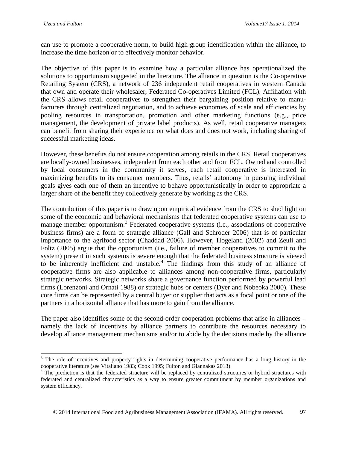can use to promote a cooperative norm, to build high group identification within the alliance, to increase the time horizon or to effectively monitor behavior.

The objective of this paper is to examine how a particular alliance has operationalized the solutions to opportunism suggested in the literature. The alliance in question is the Co-operative Retailing System (CRS), a network of 236 independent retail cooperatives in western Canada that own and operate their wholesaler, Federated Co-operatives Limited (FCL). Affiliation with the CRS allows retail cooperatives to strengthen their bargaining position relative to manufacturers through centralized negotiation, and to achieve economies of scale and efficiencies by pooling resources in transportation, promotion and other marketing functions (e.g., price management, the development of private label products). As well, retail cooperative managers can benefit from sharing their experience on what does and does not work, including sharing of successful marketing ideas.

However, these benefits do not ensure cooperation among retails in the CRS. Retail cooperatives are locally-owned businesses, independent from each other and from FCL. Owned and controlled by local consumers in the community it serves, each retail cooperative is interested in maximizing benefits to its consumer members. Thus, retails' autonomy in pursuing individual goals gives each one of them an incentive to behave opportunistically in order to appropriate a larger share of the benefit they collectively generate by working as the CRS.

The contribution of this paper is to draw upon empirical evidence from the CRS to shed light on some of the economic and behavioral mechanisms that federated cooperative systems can use to manage member opportunism.[3](#page-2-0) Federated cooperative systems (i.e., associations of cooperative business firms) are a form of strategic alliance (Gall and Schroder 2006) that is of particular importance to the agrifood sector (Chaddad 2006). However, Hogeland (2002) and Zeuli and Foltz (2005) argue that the opportunism (i.e., failure of member cooperatives to commit to the system) present in such systems is severe enough that the federated business structure is viewed to be inherently inefficient and unstable.<sup>[4](#page-2-1)</sup> The findings from this study of an alliance of cooperative firms are also applicable to alliances among non-cooperative firms, particularly strategic networks. Strategic networks share a governance function performed by powerful lead firms (Lorenzoni and Ornati 1988) or strategic hubs or centers (Dyer and Nobeoka 2000). These core firms can be represented by a central buyer or supplier that acts as a focal point or one of the partners in a horizontal alliance that has more to gain from the alliance.

The paper also identifies some of the second-order cooperation problems that arise in alliances – namely the lack of incentives by alliance partners to contribute the resources necessary to develop alliance management mechanisms and/or to abide by the decisions made by the alliance

<span id="page-2-0"></span><sup>&</sup>lt;sup>3</sup> The role of incentives and property rights in determining cooperative performance has a long history in the cooperative literature (see Vitaliano 1983; Cook 1995; Fulton and Giannakas 2013).

<span id="page-2-1"></span><sup>&</sup>lt;sup>4</sup> The prediction is that the federated structure will be replaced by centralized structures or hybrid structures with federated and centralized characteristics as a way to ensure greater commitment by member organizations and system efficiency.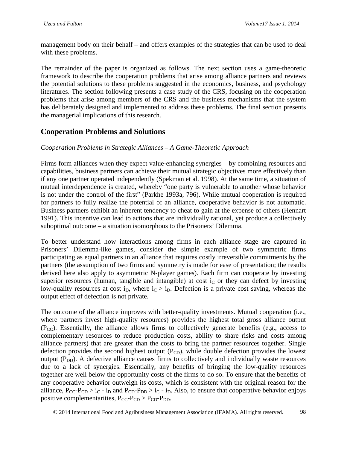management body on their behalf – and offers examples of the strategies that can be used to deal with these problems.

The remainder of the paper is organized as follows. The next section uses a game-theoretic framework to describe the cooperation problems that arise among alliance partners and reviews the potential solutions to these problems suggested in the economics, business, and psychology literatures. The section following presents a case study of the CRS, focusing on the cooperation problems that arise among members of the CRS and the business mechanisms that the system has deliberately designed and implemented to address these problems. The final section presents the managerial implications of this research.

# **Cooperation Problems and Solutions**

### *Cooperation Problems in Strategic Alliances – A Game-Theoretic Approach*

Firms form alliances when they expect value-enhancing synergies – by combining resources and capabilities, business partners can achieve their mutual strategic objectives more effectively than if any one partner operated independently (Spekman et al. 1998). At the same time, a situation of mutual interdependence is created, whereby "one party is vulnerable to another whose behavior is not under the control of the first" (Parkhe 1993a, 796). While mutual cooperation is required for partners to fully realize the potential of an alliance, cooperative behavior is not automatic. Business partners exhibit an inherent tendency to cheat to gain at the expense of others (Hennart 1991). This incentive can lead to actions that are individually rational, yet produce a collectively suboptimal outcome – a situation isomorphous to the Prisoners' Dilemma.

To better understand how interactions among firms in each alliance stage are captured in Prisoners' Dilemma-like games, consider the simple example of two symmetric firms participating as equal partners in an alliance that requires costly irreversible commitments by the partners (the assumption of two firms and symmetry is made for ease of presentation; the results derived here also apply to asymmetric N-player games). Each firm can cooperate by investing superior resources (human, tangible and intangible) at cost  $i<sub>C</sub>$  or they can defect by investing low-quality resources at cost i<sub>D</sub>, where  $i<sub>C</sub> > i<sub>D</sub>$ . Defection is a private cost saving, whereas the output effect of defection is not private.

The outcome of the alliance improves with better-quality investments. Mutual cooperation (i.e., where partners invest high-quality resources) provides the highest total gross alliance output  $(P_{CC})$ . Essentially, the alliance allows firms to collectively generate benefits (e.g., access to complementary resources to reduce production costs, ability to share risks and costs among alliance partners) that are greater than the costs to bring the partner resources together. Single defection provides the second highest output  $(P<sub>CD</sub>)$ , while double defection provides the lowest output  $(P_{DD})$ . A defective alliance causes firms to collectively and individually waste resources due to a lack of synergies. Essentially, any benefits of bringing the low-quality resources together are well below the opportunity costs of the firms to do so. To ensure that the benefits of any cooperative behavior outweigh its costs, which is consistent with the original reason for the alliance,  $P_{CC}-P_{CD} > i_C - i_D$  and  $P_{CD}-P_{DD} > i_C - i_D$ . Also, to ensure that cooperative behavior enjoys positive complementarities,  $P_{CC}P_{CD} > P_{CD}P_{DD}$ .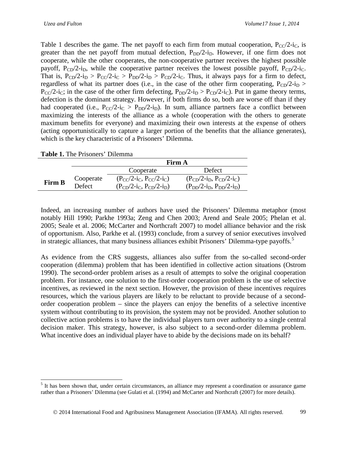Table 1 describes the game. The net payoff to each firm from mutual cooperation,  $P_{\rm CC}/2$ -i<sub>C</sub>, is greater than the net payoff from mutual defection,  $P_{DD}/2-i_D$ . However, if one firm does not cooperate, while the other cooperates, the non-cooperative partner receives the highest possible payoff,  $P_{CD}/2-i_D$ , while the cooperative partner receives the lowest possible payoff,  $P_{CD}/2-i_C$ . That is,  $P_{CD}/2-i_D > P_{CC}/2-i_C > P_{DD}/2-i_D > P_{CD}/2-i_C$ . Thus, it always pays for a firm to defect, regardless of what its partner does (i.e., in the case of the other firm cooperating,  $P_{CD}/2-i_D >$  $P_{CC}/2-i_{C}$ ; in the case of the other firm defecting,  $P_{DD}/2-i_{D} > P_{CD}/2-i_{C}$ ). Put in game theory terms, defection is the dominant strategy. However, if both firms do so, both are worse off than if they had cooperated (i.e.,  $P_{CC}/2-i_C > P_{DD}/2-i_D$ ). In sum, alliance partners face a conflict between maximizing the interests of the alliance as a whole (cooperation with the others to generate maximum benefits for everyone) and maximizing their own interests at the expense of others (acting opportunistically to capture a larger portion of the benefits that the alliance generates), which is the key characteristic of a Prisoners' Dilemma.

|  |  | <b>Table 1.</b> The Prisoners' Dilemma |  |
|--|--|----------------------------------------|--|
|--|--|----------------------------------------|--|

|               |               | Firm A                         |                                |  |
|---------------|---------------|--------------------------------|--------------------------------|--|
|               |               | Cooperate                      | Defect                         |  |
| <b>Firm B</b> | Cooperate     | $(P_{CC}/2-i_C, P_{CC}/2-i_C)$ | $(P_{CD}/2-i_D, P_{CD}/2-i_C)$ |  |
|               | <b>Defect</b> | $(P_{CD}/2-i_C, P_{CD}/2-i_D)$ | $(P_{DD}/2-i_D, P_{DD}/2-i_D)$ |  |

Indeed, an increasing number of authors have used the Prisoners' Dilemma metaphor (most notably Hill 1990; Parkhe 1993a; Zeng and Chen 2003; Arend and Seale 2005; Phelan et al. 2005; Seale et al. 2006; McCarter and Northcraft 2007) to model alliance behavior and the risk of opportunism. Also, Parkhe et al. (1993) conclude, from a survey of senior executives involved in strategic alliances, that many business alliances exhibit Prisoners' Dilemma-type payoffs.<sup>[5](#page-4-0)</sup>

As evidence from the CRS suggests, alliances also suffer from the so-called second-order cooperation (dilemma) problem that has been identified in collective action situations (Ostrom 1990). The second-order problem arises as a result of attempts to solve the original cooperation problem. For instance, one solution to the first-order cooperation problem is the use of selective incentives, as reviewed in the next section. However, the provision of these incentives requires resources, which the various players are likely to be reluctant to provide because of a secondorder cooperation problem – since the players can enjoy the benefits of a selective incentive system without contributing to its provision, the system may not be provided. Another solution to collective action problems is to have the individual players turn over authority to a single central decision maker. This strategy, however, is also subject to a second-order dilemma problem. What incentive does an individual player have to abide by the decisions made on its behalf?

<span id="page-4-0"></span><sup>&</sup>lt;sup>5</sup> It has been shown that, under certain circumstances, an alliance may represent a coordination or assurance game rather than a Prisoners' Dilemma (see Gulati et al. (1994) and McCarter and Northcraft (2007) for more details).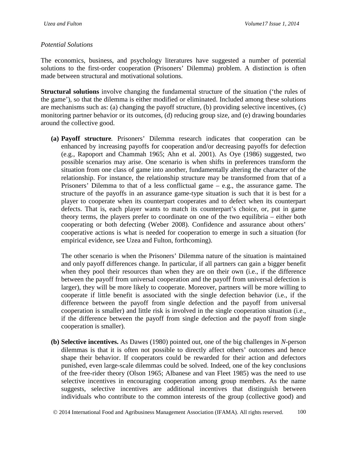### *Potential Solutions*

The economics, business, and psychology literatures have suggested a number of potential solutions to the first-order cooperation (Prisoners' Dilemma) problem. A distinction is often made between structural and motivational solutions.

**Structural solutions** involve changing the fundamental structure of the situation ('the rules of the game'), so that the dilemma is either modified or eliminated. Included among these solutions are mechanisms such as: (a) changing the payoff structure, (b) providing selective incentives, (c) monitoring partner behavior or its outcomes, (d) reducing group size, and (e) drawing boundaries around the collective good.

**(a) Payoff structure***.* Prisoners' Dilemma research indicates that cooperation can be enhanced by increasing payoffs for cooperation and/or decreasing payoffs for defection (e.g., Rapoport and Chammah 1965; Ahn et al. 2001). As Oye (1986) suggested, two possible scenarios may arise. One scenario is when shifts in preferences transform the situation from one class of game into another, fundamentally altering the character of the relationship. For instance, the relationship structure may be transformed from that of a Prisoners' Dilemma to that of a less conflictual game – e.g., the assurance game. The structure of the payoffs in an assurance game-type situation is such that it is best for a player to cooperate when its counterpart cooperates and to defect when its counterpart defects. That is, each player wants to match its counterpart's choice, or, put in game theory terms, the players prefer to coordinate on one of the two equilibria – either both cooperating or both defecting (Weber 2008). Confidence and assurance about others' cooperative actions is what is needed for cooperation to emerge in such a situation (for empirical evidence, see Uzea and Fulton, forthcoming).

The other scenario is when the Prisoners' Dilemma nature of the situation is maintained and only payoff differences change. In particular, if all partners can gain a bigger benefit when they pool their resources than when they are on their own (i.e., if the difference between the payoff from universal cooperation and the payoff from universal defection is larger), they will be more likely to cooperate. Moreover, partners will be more willing to cooperate if little benefit is associated with the single defection behavior (i.e., if the difference between the payoff from single defection and the payoff from universal cooperation is smaller) and little risk is involved in the single cooperation situation (i.e., if the difference between the payoff from single defection and the payoff from single cooperation is smaller).

**(b) Selective incentives.** As Dawes (1980) pointed out, one of the big challenges in *N*-person dilemmas is that it is often not possible to directly affect others' outcomes and hence shape their behavior. If cooperators could be rewarded for their action and defectors punished, even large-scale dilemmas could be solved. Indeed, one of the key conclusions of the free-rider theory (Olson 1965; Albanese and van Fleet 1985) was the need to use selective incentives in encouraging cooperation among group members. As the name suggests, selective incentives are additional incentives that distinguish between individuals who contribute to the common interests of the group (collective good) and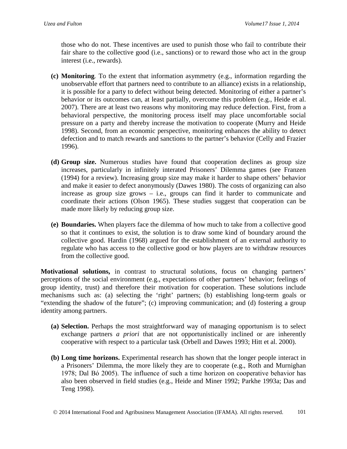those who do not. These incentives are used to punish those who fail to contribute their fair share to the collective good (i.e., sanctions) or to reward those who act in the group interest (i.e., rewards).

- **(c) Monitoring***.* To the extent that information asymmetry (e.g., information regarding the unobservable effort that partners need to contribute to an alliance) exists in a relationship, it is possible for a party to defect without being detected. Monitoring of either a partner's behavior or its outcomes can, at least partially, overcome this problem (e.g., Heide et al. 2007). There are at least two reasons why monitoring may reduce defection. First, from a behavioral perspective, the monitoring process itself may place uncomfortable social pressure on a party and thereby increase the motivation to cooperate (Murry and Heide 1998). Second, from an economic perspective, monitoring enhances the ability to detect defection and to match rewards and sanctions to the partner's behavior (Celly and Frazier 1996).
- **(d) Group size.** Numerous studies have found that cooperation declines as group size increases, particularly in infinitely interated Prisoners' Dilemma games (see Franzen (1994) for a review). Increasing group size may make it harder to shape others' behavior and make it easier to defect anonymously (Dawes 1980). The costs of organizing can also increase as group size grows – i.e., groups can find it harder to communicate and coordinate their actions (Olson 1965). These studies suggest that cooperation can be made more likely by reducing group size.
- **(e) Boundaries.** When players face the dilemma of how much to take from a collective good so that it continues to exist, the solution is to draw some kind of boundary around the collective good. Hardin (1968) argued for the establishment of an external authority to regulate who has access to the collective good or how players are to withdraw resources from the collective good.

**Motivational solutions,** in contrast to structural solutions, focus on changing partners' perceptions of the social environment (e.g., expectations of other partners' behavior; feelings of group identity, trust) and therefore their motivation for cooperation. These solutions include mechanisms such as: (a) selecting the 'right' partners; (b) establishing long-term goals or "extending the shadow of the future"; (c) improving communication; and (d) fostering a group identity among partners.

- **(a) Selection.** Perhaps the most straightforward way of managing opportunism is to select exchange partners *a priori* that are not opportunistically inclined or are inherently cooperative with respect to a particular task (Orbell and Dawes 1993; Hitt et al. 2000).
- **(b) Long time horizons.** Experimental research has shown that the longer people interact in a Prisoners' Dilemma, the more likely they are to cooperate (e.g., Roth and Murnighan 1978; Dal Bό 2005). The influence of such a time horizon on cooperative behavior has also been observed in field studies (e.g., Heide and Miner 1992; Parkhe 1993a; Das and Teng 1998).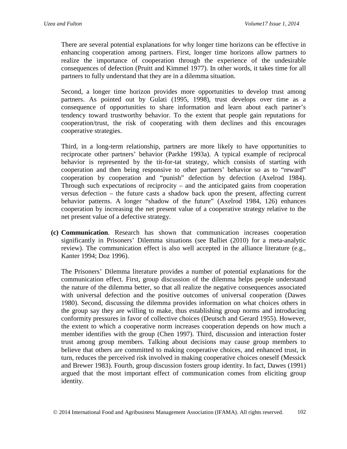There are several potential explanations for why longer time horizons can be effective in enhancing cooperation among partners. First, longer time horizons allow partners to realize the importance of cooperation through the experience of the undesirable consequences of defection (Pruitt and Kimmel 1977). In other words, it takes time for all partners to fully understand that they are in a dilemma situation.

Second, a longer time horizon provides more opportunities to develop trust among partners. As pointed out by Gulati (1995, 1998), trust develops over time as a consequence of opportunities to share information and learn about each partner's tendency toward trustworthy behavior. To the extent that people gain reputations for cooperation/trust, the risk of cooperating with them declines and this encourages cooperative strategies.

Third, in a long-term relationship, partners are more likely to have opportunities to reciprocate other partners' behavior (Parkhe 1993a). A typical example of reciprocal behavior is represented by the tit-for-tat strategy, which consists of starting with cooperation and then being responsive to other partners' behavior so as to "reward" cooperation by cooperation and "punish" defection by defection (Axelrod 1984). Through such expectations of reciprocity – and the anticipated gains from cooperation versus defection – the future casts a shadow back upon the present, affecting current behavior patterns. A longer "shadow of the future" (Axelrod 1984, 126) enhances cooperation by increasing the net present value of a cooperative strategy relative to the net present value of a defective strategy.

**(c) Communication***.* Research has shown that communication increases cooperation significantly in Prisoners' Dilemma situations (see Balliet (2010) for a meta-analytic review). The communication effect is also well accepted in the alliance literature (e.g., Kanter 1994; Doz 1996).

The Prisoners' Dilemma literature provides a number of potential explanations for the communication effect. First, group discussion of the dilemma helps people understand the nature of the dilemma better, so that all realize the negative consequences associated with universal defection and the positive outcomes of universal cooperation (Dawes 1980). Second, discussing the dilemma provides information on what choices others in the group say they are willing to make, thus establishing group norms and introducing conformity pressures in favor of collective choices (Deutsch and Gerard 1955). However, the extent to which a cooperative norm increases cooperation depends on how much a member identifies with the group (Chen 1997). Third, discussion and interaction foster trust among group members. Talking about decisions may cause group members to believe that others are committed to making cooperative choices, and enhanced trust, in turn, reduces the perceived risk involved in making cooperative choices oneself (Messick and Brewer 1983). Fourth, group discussion fosters group identity. In fact, Dawes (1991) argued that the most important effect of communication comes from eliciting group identity.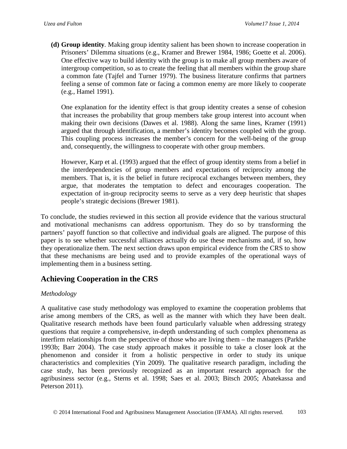**(d) Group identity***.* Making group identity salient has been shown to increase cooperation in Prisoners' Dilemma situations (e.g., Kramer and Brewer 1984, 1986; Goette et al. 2006). One effective way to build identity with the group is to make all group members aware of intergroup competition, so as to create the feeling that all members within the group share a common fate (Tajfel and Turner 1979). The business literature confirms that partners feeling a sense of common fate or facing a common enemy are more likely to cooperate (e.g., Hamel 1991).

One explanation for the identity effect is that group identity creates a sense of cohesion that increases the probability that group members take group interest into account when making their own decisions (Dawes et al. 1988). Along the same lines, Kramer (1991) argued that through identification, a member's identity becomes coupled with the group. This coupling process increases the member's concern for the well-being of the group and, consequently, the willingness to cooperate with other group members.

However, Karp et al. (1993) argued that the effect of group identity stems from a belief in the interdependencies of group members and expectations of reciprocity among the members. That is, it is the belief in future reciprocal exchanges between members, they argue, that moderates the temptation to defect and encourages cooperation. The expectation of in-group reciprocity seems to serve as a very deep heuristic that shapes people's strategic decisions (Brewer 1981).

To conclude, the studies reviewed in this section all provide evidence that the various structural and motivational mechanisms can address opportunism. They do so by transforming the partners' payoff function so that collective and individual goals are aligned. The purpose of this paper is to see whether successful alliances actually do use these mechanisms and, if so, how they operationalize them. The next section draws upon empirical evidence from the CRS to show that these mechanisms are being used and to provide examples of the operational ways of implementing them in a business setting.

# **Achieving Cooperation in the CRS**

## *Methodology*

A qualitative case study methodology was employed to examine the cooperation problems that arise among members of the CRS, as well as the manner with which they have been dealt. Qualitative research methods have been found particularly valuable when addressing strategy questions that require a comprehensive, in-depth understanding of such complex phenomena as interfirm relationships from the perspective of those who are living them – the managers (Parkhe 1993b; Barr 2004). The case study approach makes it possible to take a closer look at the phenomenon and consider it from a holistic perspective in order to study its unique characteristics and complexities (Yin 2009). The qualitative research paradigm, including the case study, has been previously recognized as an important research approach for the agribusiness sector (e.g., Sterns et al. 1998; Saes et al. 2003; Bitsch 2005; Abatekassa and Peterson 2011).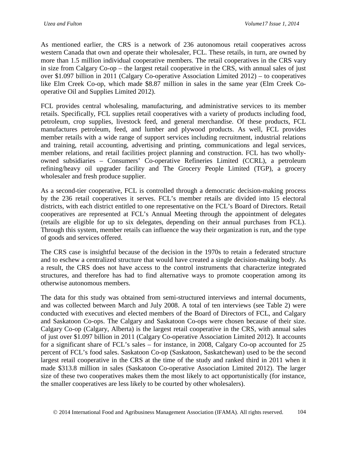As mentioned earlier, the CRS is a network of 236 autonomous retail cooperatives across western Canada that own and operate their wholesaler, FCL. These retails, in turn, are owned by more than 1.5 million individual cooperative members. The retail cooperatives in the CRS vary in size from Calgary Co-op – the largest retail cooperative in the CRS, with annual sales of just over \$1.097 billion in 2011 (Calgary Co-operative Association Limited 2012) – to cooperatives like Elm Creek Co-op, which made \$8.87 million in sales in the same year (Elm Creek Cooperative Oil and Supplies Limited 2012).

FCL provides central wholesaling, manufacturing, and administrative services to its member retails. Specifically, FCL supplies retail cooperatives with a variety of products including food, petroleum, crop supplies, livestock feed, and general merchandise. Of these products, FCL manufactures petroleum, feed, and lumber and plywood products. As well, FCL provides member retails with a wide range of support services including recruitment, industrial relations and training, retail accounting, advertising and printing, communications and legal services, member relations, and retail facilities project planning and construction. FCL has two whollyowned subsidiaries – Consumers' Co-operative Refineries Limited (CCRL), a petroleum refining/heavy oil upgrader facility and The Grocery People Limited (TGP), a grocery wholesaler and fresh produce supplier.

As a second-tier cooperative, FCL is controlled through a democratic decision-making process by the 236 retail cooperatives it serves. FCL's member retails are divided into 15 electoral districts, with each district entitled to one representative on the FCL's Board of Directors. Retail cooperatives are represented at FCL's Annual Meeting through the appointment of delegates (retails are eligible for up to six delegates, depending on their annual purchases from FCL). Through this system, member retails can influence the way their organization is run, and the type of goods and services offered.

The CRS case is insightful because of the decision in the 1970s to retain a federated structure and to eschew a centralized structure that would have created a single decision-making body. As a result, the CRS does not have access to the control instruments that characterize integrated structures, and therefore has had to find alternative ways to promote cooperation among its otherwise autonomous members.

The data for this study was obtained from semi-structured interviews and internal documents, and was collected between March and July 2008. A total of ten interviews (see Table 2) were conducted with executives and elected members of the Board of Directors of FCL, and Calgary and Saskatoon Co-ops. The Calgary and Saskatoon Co-ops were chosen because of their size. Calgary Co-op (Calgary, Alberta) is the largest retail cooperative in the CRS, with annual sales of just over \$1.097 billion in 2011 (Calgary Co-operative Association Limited 2012). It accounts for a significant share of FCL's sales – for instance, in 2008, Calgary Co-op accounted for 25 percent of FCL's food sales. Saskatoon Co-op (Saskatoon, Saskatchewan) used to be the second largest retail cooperative in the CRS at the time of the study and ranked third in 2011 when it made \$313.8 million in sales (Saskatoon Co-operative Association Limited 2012). The larger size of these two cooperatives makes them the most likely to act opportunistically (for instance, the smaller cooperatives are less likely to be courted by other wholesalers).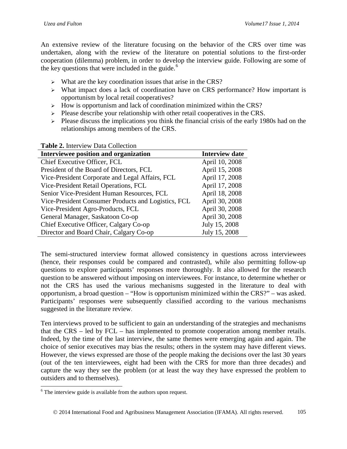An extensive review of the literature focusing on the behavior of the CRS over time was undertaken, along with the review of the literature on potential solutions to the first-order cooperation (dilemma) problem, in order to develop the interview guide. Following are some of the key questions that were included in the guide. $<sup>6</sup>$  $<sup>6</sup>$  $<sup>6</sup>$ </sup>

- $\triangleright$  What are the key coordination issues that arise in the CRS?
- What impact does a lack of coordination have on CRS performance? How important is opportunism by local retail cooperatives?
- $\triangleright$  How is opportunism and lack of coordination minimized within the CRS?
- $\triangleright$  Please describe your relationship with other retail cooperatives in the CRS.
- $\triangleright$  Please discuss the implications you think the financial crisis of the early 1980s had on the relationships among members of the CRS.

#### **Table 2.** Interview Data Collection

| Interviewee position and organization               | <b>Interview date</b> |
|-----------------------------------------------------|-----------------------|
| Chief Executive Officer, FCL                        | April 10, 2008        |
| President of the Board of Directors, FCL            | April 15, 2008        |
| Vice-President Corporate and Legal Affairs, FCL     | April 17, 2008        |
| Vice-President Retail Operations, FCL               | April 17, 2008        |
| Senior Vice-President Human Resources, FCL          | April 18, 2008        |
| Vice-President Consumer Products and Logistics, FCL | April 30, 2008        |
| Vice-President Agro-Products, FCL                   | April 30, 2008        |
| General Manager, Saskatoon Co-op                    | April 30, 2008        |
| Chief Executive Officer, Calgary Co-op              | July 15, 2008         |
| Director and Board Chair, Calgary Co-op             | July 15, 2008         |

The semi-structured interview format allowed consistency in questions across interviewees (hence, their responses could be compared and contrasted), while also permitting follow-up questions to explore participants' responses more thoroughly. It also allowed for the research question to be answered without imposing on interviewees. For instance, to determine whether or not the CRS has used the various mechanisms suggested in the literature to deal with opportunism, a broad question – "How is opportunism minimized within the CRS?" – was asked. Participants' responses were subsequently classified according to the various mechanisms suggested in the literature review.

Ten interviews proved to be sufficient to gain an understanding of the strategies and mechanisms that the CRS – led by FCL – has implemented to promote cooperation among member retails. Indeed, by the time of the last interview, the same themes were emerging again and again. The choice of senior executives may bias the results; others in the system may have different views. However, the views expressed are those of the people making the decisions over the last 30 years (out of the ten interviewees, eight had been with the CRS for more than three decades) and capture the way they see the problem (or at least the way they have expressed the problem to outsiders and to themselves).

<span id="page-10-0"></span> $6$  The interview guide is available from the authors upon request.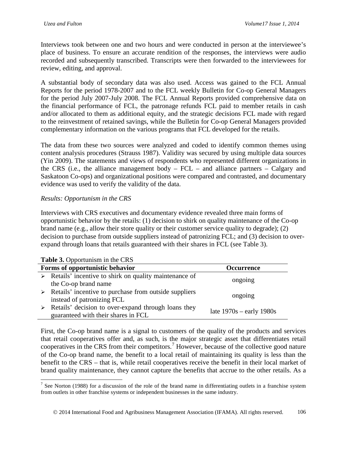Interviews took between one and two hours and were conducted in person at the interviewee's place of business. To ensure an accurate rendition of the responses, the interviews were audio recorded and subsequently transcribed. Transcripts were then forwarded to the interviewees for review, editing, and approval.

A substantial body of secondary data was also used. Access was gained to the FCL Annual Reports for the period 1978-2007 and to the FCL weekly Bulletin for Co-op General Managers for the period July 2007-July 2008. The FCL Annual Reports provided comprehensive data on the financial performance of FCL, the patronage refunds FCL paid to member retails in cash and/or allocated to them as additional equity, and the strategic decisions FCL made with regard to the reinvestment of retained savings, while the Bulletin for Co-op General Managers provided complementary information on the various programs that FCL developed for the retails.

The data from these two sources were analyzed and coded to identify common themes using content analysis procedures (Strauss 1987). Validity was secured by using multiple data sources (Yin 2009). The statements and views of respondents who represented different organizations in the CRS (i.e., the alliance management body – FCL – and alliance partners – Calgary and Saskatoon Co-ops) and organizational positions were compared and contrasted, and documentary evidence was used to verify the validity of the data.

# *Results: Opportunism in the CRS*

Interviews with CRS executives and documentary evidence revealed three main forms of opportunistic behavior by the retails: (1) decision to shirk on quality maintenance of the Co-op brand name (e.g., allow their store quality or their customer service quality to degrade); (2) decision to purchase from outside suppliers instead of patronizing FCL; and (3) decision to overexpand through loans that retails guaranteed with their shares in FCL (see Table 3).

| <b>rapic of</b> Opportunism in the CRD |                                                                        |                            |  |
|----------------------------------------|------------------------------------------------------------------------|----------------------------|--|
| Forms of opportunistic behavior        |                                                                        | <b>Occurrence</b>          |  |
|                                        | $\triangleright$ Retails' incentive to shirk on quality maintenance of | ongoing                    |  |
|                                        | the Co-op brand name                                                   |                            |  |
|                                        | $\triangleright$ Retails' incentive to purchase from outside suppliers | ongoing                    |  |
|                                        | instead of patronizing FCL                                             |                            |  |
|                                        | $\triangleright$ Retails' decision to over-expand through loans they   | late $1970s - early 1980s$ |  |
|                                        | guaranteed with their shares in FCL                                    |                            |  |

### **Table 3.** Opportunism in the CRS

First, the Co-op brand name is a signal to customers of the quality of the products and services that retail cooperatives offer and, as such, is the major strategic asset that differentiates retail cooperatives in the CRS from their competitors.<sup>[7](#page-11-0)</sup> However, because of the collective good nature of the Co-op brand name, the benefit to a local retail of maintaining its quality is less than the benefit to the CRS – that is, while retail cooperatives receive the benefit in their local market of brand quality maintenance, they cannot capture the benefits that accrue to the other retails. As a

<span id="page-11-0"></span> $<sup>7</sup>$  See Norton (1988) for a discussion of the role of the brand name in differentiating outlets in a franchise system</sup> from outlets in other franchise systems or independent businesses in the same industry.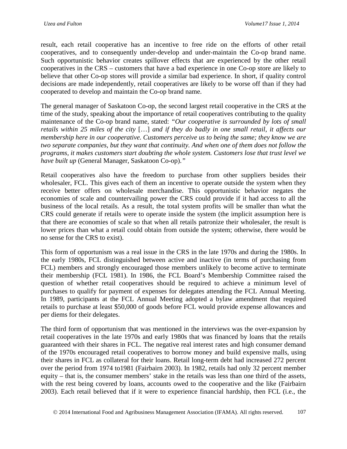result, each retail cooperative has an incentive to free ride on the efforts of other retail cooperatives, and to consequently under-develop and under-maintain the Co-op brand name. Such opportunistic behavior creates spillover effects that are experienced by the other retail cooperatives in the CRS – customers that have a bad experience in one Co-op store are likely to believe that other Co-op stores will provide a similar bad experience. In short, if quality control decisions are made independently, retail cooperatives are likely to be worse off than if they had cooperated to develop and maintain the Co-op brand name.

The general manager of Saskatoon Co-op, the second largest retail cooperative in the CRS at the time of the study, speaking about the importance of retail cooperatives contributing to the quality maintenance of the Co-op brand name, stated: *"Our cooperative is surrounded by lots of small retails within 25 miles of the city* […] *and if they do badly in one small retail, it affects our membership here in our cooperative. Customers perceive us to being the same; they know we are two separate companies, but they want that continuity. And when one of them does not follow the programs, it makes customers start doubting the whole system. Customers lose that trust level we have built up* (General Manager, Saskatoon Co-op).*"*

Retail cooperatives also have the freedom to purchase from other suppliers besides their wholesaler, FCL. This gives each of them an incentive to operate outside the system when they receive better offers on wholesale merchandise. This opportunistic behavior negates the economies of scale and countervailing power the CRS could provide if it had access to all the business of the local retails. As a result, the total system profits will be smaller than what the CRS could generate if retails were to operate inside the system (the implicit assumption here is that there are economies of scale so that when all retails patronize their wholesaler, the result is lower prices than what a retail could obtain from outside the system; otherwise, there would be no sense for the CRS to exist).

This form of opportunism was a real issue in the CRS in the late 1970s and during the 1980s. In the early 1980s, FCL distinguished between active and inactive (in terms of purchasing from FCL) members and strongly encouraged those members unlikely to become active to terminate their membership (FCL 1981). In 1986, the FCL Board's Membership Committee raised the question of whether retail cooperatives should be required to achieve a minimum level of purchases to qualify for payment of expenses for delegates attending the FCL Annual Meeting. In 1989, participants at the FCL Annual Meeting adopted a bylaw amendment that required retails to purchase at least \$50,000 of goods before FCL would provide expense allowances and per diems for their delegates.

The third form of opportunism that was mentioned in the interviews was the over-expansion by retail cooperatives in the late 1970s and early 1980s that was financed by loans that the retails guaranteed with their shares in FCL. The negative real interest rates and high consumer demand of the 1970s encouraged retail cooperatives to borrow money and build expensive malls, using their shares in FCL as collateral for their loans. Retail long-term debt had increased 272 percent over the period from 1974 to1981 (Fairbairn 2003). In 1982, retails had only 32 percent member equity – that is, the consumer members' stake in the retails was less than one third of the assets, with the rest being covered by loans, accounts owed to the cooperative and the like (Fairbairn 2003). Each retail believed that if it were to experience financial hardship, then FCL (i.e., the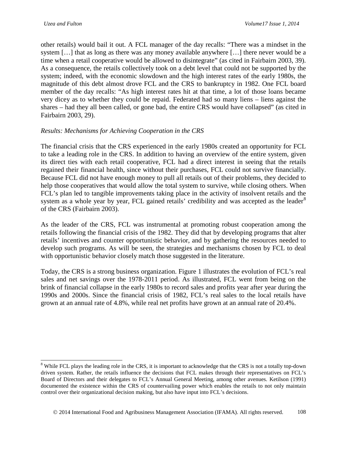other retails) would bail it out. A FCL manager of the day recalls: "There was a mindset in the system […] that as long as there was any money available anywhere […] there never would be a time when a retail cooperative would be allowed to disintegrate" (as cited in Fairbairn 2003, 39). As a consequence, the retails collectively took on a debt level that could not be supported by the system; indeed, with the economic slowdown and the high interest rates of the early 1980s, the magnitude of this debt almost drove FCL and the CRS to bankruptcy in 1982. One FCL board member of the day recalls: "As high interest rates hit at that time, a lot of those loans became very dicey as to whether they could be repaid. Federated had so many liens – liens against the shares – had they all been called, or gone bad, the entire CRS would have collapsed" (as cited in Fairbairn 2003, 29).

### *Results: Mechanisms for Achieving Cooperation in the CRS*

The financial crisis that the CRS experienced in the early 1980s created an opportunity for FCL to take a leading role in the CRS. In addition to having an overview of the entire system, given its direct ties with each retail cooperative, FCL had a direct interest in seeing that the retails regained their financial health, since without their purchases, FCL could not survive financially. Because FCL did not have enough money to pull all retails out of their problems, they decided to help those cooperatives that would allow the total system to survive, while closing others. When FCL's plan led to tangible improvements taking place in the activity of insolvent retails and the system as a whole year by year, FCL gained retails' credibility and was accepted as the leader<sup>[8](#page-13-0)</sup> of the CRS (Fairbairn 2003).

As the leader of the CRS, FCL was instrumental at promoting robust cooperation among the retails following the financial crisis of the 1982. They did that by developing programs that alter retails' incentives and counter opportunistic behavior, and by gathering the resources needed to develop such programs. As will be seen, the strategies and mechanisms chosen by FCL to deal with opportunistic behavior closely match those suggested in the literature.

Today, the CRS is a strong business organization. Figure 1 illustrates the evolution of FCL's real sales and net savings over the 1978-2011 period. As illustrated, FCL went from being on the brink of financial collapse in the early 1980s to record sales and profits year after year during the 1990s and 2000s. Since the financial crisis of 1982, FCL's real sales to the local retails have grown at an annual rate of 4.8%, while real net profits have grown at an annual rate of 20.4%.

<span id="page-13-0"></span><sup>&</sup>lt;sup>8</sup> While FCL plays the leading role in the CRS, it is important to acknowledge that the CRS is not a totally top-down driven system. Rather, the retails influence the decisions that FCL makes through their representatives on FCL's Board of Directors and their delegates to FCL's Annual General Meeting, among other avenues. Ketilson (1991) documented the existence within the CRS of countervailing power which enables the retails to not only maintain control over their organizational decision making, but also have input into FCL's decisions.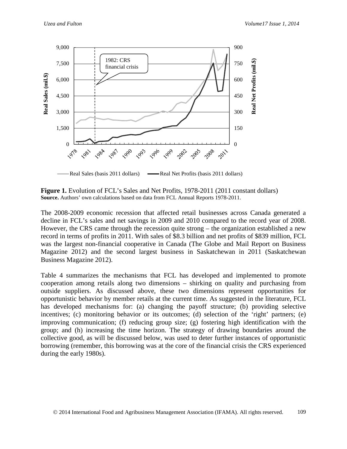

**Figure 1.** Evolution of FCL's Sales and Net Profits, 1978-2011 (2011 constant dollars) **Source.** Authors' own calculations based on data from FCL Annual Reports 1978-2011.

The 2008-2009 economic recession that affected retail businesses across Canada generated a decline in FCL's sales and net savings in 2009 and 2010 compared to the record year of 2008. However, the CRS came through the recession quite strong – the organization established a new record in terms of profits in 2011. With sales of \$8.3 billion and net profits of \$839 million, FCL was the largest non-financial cooperative in Canada (The Globe and Mail Report on Business Magazine 2012) and the second largest business in Saskatchewan in 2011 (Saskatchewan Business Magazine 2012).

Table 4 summarizes the mechanisms that FCL has developed and implemented to promote cooperation among retails along two dimensions – shirking on quality and purchasing from outside suppliers. As discussed above, these two dimensions represent opportunities for opportunistic behavior by member retails at the current time. As suggested in the literature, FCL has developed mechanisms for: (a) changing the payoff structure; (b) providing selective incentives; (c) monitoring behavior or its outcomes; (d) selection of the 'right' partners; (e) improving communication; (f) reducing group size; (g) fostering high identification with the group; and (h) increasing the time horizon. The strategy of drawing boundaries around the collective good, as will be discussed below, was used to deter further instances of opportunistic borrowing (remember, this borrowing was at the core of the financial crisis the CRS experienced during the early 1980s).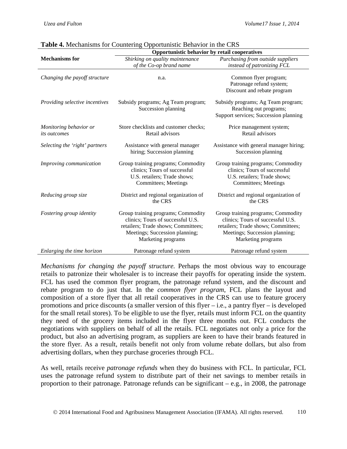|                                               | Opportunistic behavior by retail cooperatives                                                                                                                          |                                                                                                                                                                        |  |
|-----------------------------------------------|------------------------------------------------------------------------------------------------------------------------------------------------------------------------|------------------------------------------------------------------------------------------------------------------------------------------------------------------------|--|
| <b>Mechanisms</b> for                         | Shirking on quality maintenance                                                                                                                                        | Purchasing from outside suppliers                                                                                                                                      |  |
|                                               | of the Co-op brand name                                                                                                                                                | instead of patronizing FCL                                                                                                                                             |  |
| Changing the payoff structure                 | n.a.                                                                                                                                                                   | Common flyer program;<br>Patronage refund system;<br>Discount and rebate program                                                                                       |  |
| Providing selective incentives                | Subsidy programs; Ag Team program;<br>Succession planning                                                                                                              | Subsidy programs; Ag Team program;<br>Reaching out programs;<br>Support services; Succession planning                                                                  |  |
| Monitoring behavior or<br><i>its outcomes</i> | Store checklists and customer checks;<br>Retail advisors                                                                                                               | Price management system;<br>Retail advisors                                                                                                                            |  |
| Selecting the 'right' partners                | Assistance with general manager<br>hiring; Succession planning                                                                                                         | Assistance with general manager hiring;<br>Succession planning                                                                                                         |  |
| Improving communication                       | Group training programs; Commodity<br>clinics; Tours of successful<br>U.S. retailers; Trade shows;<br><b>Committees</b> ; Meetings                                     | Group training programs; Commodity<br>clinics; Tours of successful<br>U.S. retailers; Trade shows;<br><b>Committees</b> ; Meetings                                     |  |
| Reducing group size                           | District and regional organization of<br>the CRS                                                                                                                       | District and regional organization of<br>the CRS                                                                                                                       |  |
| Fostering group identity                      | Group training programs; Commodity<br>clinics; Tours of successful U.S.<br>retailers; Trade shows; Committees;<br>Meetings; Succession planning;<br>Marketing programs | Group training programs; Commodity<br>clinics; Tours of successful U.S.<br>retailers; Trade shows; Committees;<br>Meetings; Succession planning;<br>Marketing programs |  |
| Enlarging the time horizon                    | Patronage refund system                                                                                                                                                | Patronage refund system                                                                                                                                                |  |

*Mechanisms for changing the payoff structure.* Perhaps the most obvious way to encourage retails to patronize their wholesaler is to increase their payoffs for operating inside the system. FCL has used the common flyer program, the patronage refund system, and the discount and rebate program to do just that. In the *common flyer program*, FCL plans the layout and composition of a store flyer that all retail cooperatives in the CRS can use to feature grocery promotions and price discounts (a smaller version of this flyer – i.e., a pantry flyer – is developed for the small retail stores). To be eligible to use the flyer, retails must inform FCL on the quantity they need of the grocery items included in the flyer three months out. FCL conducts the negotiations with suppliers on behalf of all the retails. FCL negotiates not only a price for the product, but also an advertising program, as suppliers are keen to have their brands featured in the store flyer. As a result, retails benefit not only from volume rebate dollars, but also from advertising dollars, when they purchase groceries through FCL.

As well, retails receive *patronage refunds* when they do business with FCL. In particular, FCL uses the patronage refund system to distribute part of their net savings to member retails in proportion to their patronage. Patronage refunds can be significant – e.g., in 2008, the patronage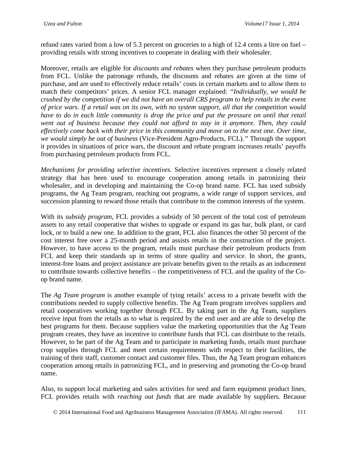refund rates varied from a low of 5.3 percent on groceries to a high of 12.4 cents a litre on fuel – providing retails with strong incentives to cooperate in dealing with their wholesaler.

Moreover, retails are eligible for *discounts and rebates* when they purchase petroleum products from FCL. Unlike the patronage refunds, the discounts and rebates are given at the time of purchase, and are used to effectively reduce retails' costs in certain markets and to allow them to match their competitors' prices. A senior FCL manager explained: *"Individually, we would be crushed by the competition if we did not have an overall CRS program to help retails in the event of price wars. If a retail was on its own, with no system support, all that the competition would have to do in each little community is drop the price and put the pressure on until that retail went out of business because they could not afford to stay in it anymore. Then, they could effectively come back with their price in this community and move on to the next one. Over time, we would simply be out of business* (Vice-President Agro-Products, FCL).*"* Through the support it provides in situations of price wars, the discount and rebate program increases retails' payoffs from purchasing petroleum products from FCL.

*Mechanisms for providing selective incentives.* Selective incentives represent a closely related strategy that has been used to encourage cooperation among retails in patronizing their wholesaler, and in developing and maintaining the Co-op brand name. FCL has used subsidy programs, the Ag Team program, reaching out programs, a wide range of support services, and succession planning to reward those retails that contribute to the common interests of the system.

With its *subsidy program*, FCL provides a subsidy of 50 percent of the total cost of petroleum assets to any retail cooperative that wishes to upgrade or expand its gas bar, bulk plant, or card lock, or to build a new one. In addition to the grant, FCL also finances the other 50 percent of the cost interest free over a 25-month period and assists retails in the construction of the project. However, to have access to the program, retails must purchase their petroleum products from FCL and keep their standards up in terms of store quality and service. In short, the grants, interest-free loans and project assistance are private benefits given to the retails as an inducement to contribute towards collective benefits – the competitiveness of FCL and the quality of the Coop brand name.

The *Ag Team program* is another example of tying retails' access to a private benefit with the contributions needed to supply collective benefits. The Ag Team program involves suppliers and retail cooperatives working together through FCL. By taking part in the Ag Team, suppliers receive input from the retails as to what is required by the end user and are able to develop the best programs for them. Because suppliers value the marketing opportunities that the Ag Team program creates, they have an incentive to contribute funds that FCL can distribute to the retails. However, to be part of the Ag Team and to participate in marketing funds, retails must purchase crop supplies through FCL and meet certain requirements with respect to their facilities, the training of their staff, customer contact and customer files. Thus, the Ag Team program enhances cooperation among retails in patronizing FCL, and in preserving and promoting the Co-op brand name.

Also, to support local marketing and sales activities for seed and farm equipment product lines, FCL provides retails with *reaching out funds* that are made available by suppliers. Because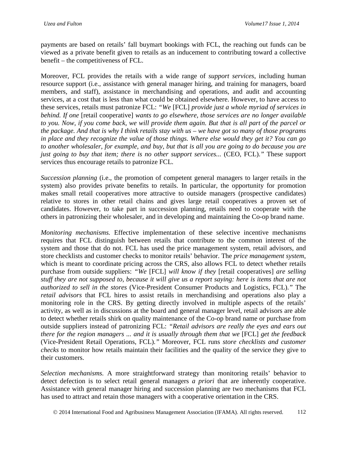payments are based on retails' fall buymart bookings with FCL, the reaching out funds can be viewed as a private benefit given to retails as an inducement to contributing toward a collective benefit – the competitiveness of FCL.

Moreover, FCL provides the retails with a wide range of *support services*, including human resource support (i.e., assistance with general manager hiring, and training for managers, board members, and staff), assistance in merchandising and operations, and audit and accounting services, at a cost that is less than what could be obtained elsewhere. However, to have access to these services, retails must patronize FCL: *"We* [FCL] *provide just a whole myriad of services in behind. If one* [retail cooperative] *wants to go elsewhere, those services are no longer available to you. Now, if you come back, we will provide them again. But that is all part of the parcel or the package. And that is why I think retails stay with us – we have got so many of those programs in place and they recognize the value of those things. Where else would they get it? You can go to another wholesaler, for example, and buy, but that is all you are going to do because you are just going to buy that item; there is no other support services... (CEO, FCL)." These support* services thus encourage retails to patronize FCL.

*Succession planning* (i.e., the promotion of competent general managers to larger retails in the system) also provides private benefits to retails. In particular, the opportunity for promotion makes small retail cooperatives more attractive to outside managers (prospective candidates) relative to stores in other retail chains and gives large retail cooperatives a proven set of candidates. However, to take part in succession planning, retails need to cooperate with the others in patronizing their wholesaler, and in developing and maintaining the Co-op brand name.

*Monitoring mechanisms.* Effective implementation of these selective incentive mechanisms requires that FCL distinguish between retails that contribute to the common interest of the system and those that do not. FCL has used the price management system, retail advisors, and store checklists and customer checks to monitor retails' behavior. The *price management system*, which is meant to coordinate pricing across the CRS, also allows FCL to detect whether retails purchase from outside suppliers: *"We* [FCL] *will know if they* [retail cooperatives] *are selling stuff they are not supposed to, because it will give us a report saying: here is items that are not authorized to sell in the stores* (Vice-President Consumer Products and Logistics, FCL).*"* The *retail advisors* that FCL hires to assist retails in merchandising and operations also play a monitoring role in the CRS. By getting directly involved in multiple aspects of the retails' activity, as well as in discussions at the board and general manager level, retail advisors are able to detect whether retails shirk on quality maintenance of the Co-op brand name or purchase from outside suppliers instead of patronizing FCL: *"Retail advisors are really the eyes and ears out there for the region managers ... and it is usually through them that we* [FCL] *get the feedback* (Vice-President Retail Operations, FCL)*."* Moreover, FCL runs *store checklists and customer checks* to monitor how retails maintain their facilities and the quality of the service they give to their customers.

*Selection mechanisms.* A more straightforward strategy than monitoring retails' behavior to detect defection is to select retail general managers *a priori* that are inherently cooperative. Assistance with general manager hiring and succession planning are two mechanisms that FCL has used to attract and retain those managers with a cooperative orientation in the CRS.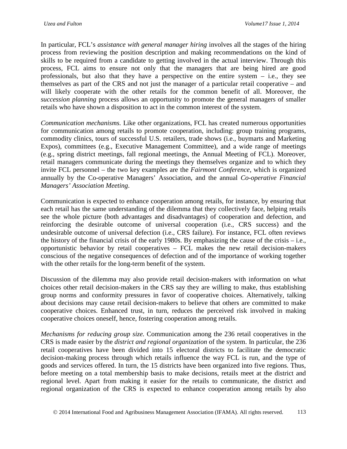In particular, FCL's *assistance with general manager hiring* involves all the stages of the hiring process from reviewing the position description and making recommendations on the kind of skills to be required from a candidate to getting involved in the actual interview. Through this process, FCL aims to ensure not only that the managers that are being hired are good professionals, but also that they have a perspective on the entire system – i.e., they see themselves as part of the CRS and not just the manager of a particular retail cooperative – and will likely cooperate with the other retails for the common benefit of all. Moreover, the *succession planning* process allows an opportunity to promote the general managers of smaller retails who have shown a disposition to act in the common interest of the system.

*Communication mechanisms.* Like other organizations, FCL has created numerous opportunities for communication among retails to promote cooperation, including: group training programs, commodity clinics, tours of successful U.S. retailers, trade shows (i.e., buymarts and Marketing Expos), committees (e.g., Executive Management Committee), and a wide range of meetings (e.g., spring district meetings, fall regional meetings, the Annual Meeting of FCL). Moreover, retail managers communicate during the meetings they themselves organize and to which they invite FCL personnel – the two key examples are the *Fairmont Conference*, which is organized annually by the Co-operative Managers' Association, and the annual *Co-operative Financial Managers' Association Meeting*.

Communication is expected to enhance cooperation among retails, for instance, by ensuring that each retail has the same understanding of the dilemma that they collectively face, helping retails see the whole picture (both advantages and disadvantages) of cooperation and defection, and reinforcing the desirable outcome of universal cooperation (i.e., CRS success) and the undesirable outcome of universal defection (i.e., CRS failure). For instance, FCL often reviews the history of the financial crisis of the early 1980s. By emphasizing the cause of the crisis – i.e., opportunistic behavior by retail cooperatives – FCL makes the new retail decision-makers conscious of the negative consequences of defection and of the importance of working together with the other retails for the long-term benefit of the system.

Discussion of the dilemma may also provide retail decision-makers with information on what choices other retail decision-makers in the CRS say they are willing to make, thus establishing group norms and conformity pressures in favor of cooperative choices. Alternatively, talking about decisions may cause retail decision-makers to believe that others are committed to make cooperative choices. Enhanced trust, in turn, reduces the perceived risk involved in making cooperative choices oneself, hence, fostering cooperation among retails.

*Mechanisms for reducing group size.* Communication among the 236 retail cooperatives in the CRS is made easier by the *district and regional organization* of the system. In particular, the 236 retail cooperatives have been divided into 15 electoral districts to facilitate the democratic decision-making process through which retails influence the way FCL is run, and the type of goods and services offered. In turn, the 15 districts have been organized into five regions. Thus, before meeting on a total membership basis to make decisions, retails meet at the district and regional level. Apart from making it easier for the retails to communicate, the district and regional organization of the CRS is expected to enhance cooperation among retails by also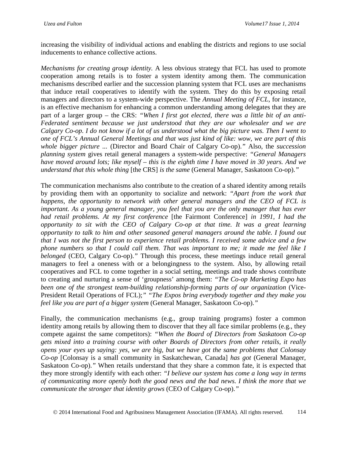increasing the visibility of individual actions and enabling the districts and regions to use social inducements to enhance collective actions.

*Mechanisms for creating group identity.* A less obvious strategy that FCL has used to promote cooperation among retails is to foster a system identity among them. The communication mechanisms described earlier and the succession planning system that FCL uses are mechanisms that induce retail cooperatives to identify with the system. They do this by exposing retail managers and directors to a system-wide perspective. The *Annual Meeting of FCL*, for instance, is an effective mechanism for enhancing a common understanding among delegates that they are part of a larger group – the CRS: *"When I first got elected, there was a little bit of an anti-Federated sentiment because we just understood that they are our wholesaler and we are Calgary Co-op. I do not know if a lot of us understood what the big picture was. Then I went to one of FCL's Annual General Meetings and that was just kind of like: wow, we are part of this whole bigger picture ...* (Director and Board Chair of Calgary Co-op).*"* Also, the *succession planning system* gives retail general managers a system-wide perspective: *"General Managers have moved around lots; like myself – this is the eighth time I have moved in 30 years. And we understand that this whole thing* [the CRS] *is the same* (General Manager, Saskatoon Co-op).*"*

The communication mechanisms also contribute to the creation of a shared identity among retails by providing them with an opportunity to socialize and network: *"Apart from the work that happens, the opportunity to network with other general managers and the CEO of FCL is important. As a young general manager, you feel that you are the only manager that has ever had retail problems. At my first conference* [the Fairmont Conference] *in 1991, I had the opportunity to sit with the CEO of Calgary Co-op at that time. It was a great learning opportunity to talk to him and other seasoned general managers around the table. I found out that I was not the first person to experience retail problems. I received some advice and a few phone numbers so that I could call them. That was important to me; it made me feel like I belonged* (CEO, Calgary Co-op)." Through this process, these meetings induce retail general managers to feel a oneness with or a belongingness to the system. Also, by allowing retail cooperatives and FCL to come together in a social setting, meetings and trade shows contribute to creating and nurturing a sense of 'groupness' among them: *"The Co-op Marketing Expo has been one of the strongest team-building relationship-forming parts of our organization* (Vice-President Retail Operations of FCL);*" "The Expos bring everybody together and they make you feel like you are part of a bigger system* (General Manager, Saskatoon Co-op).*"*

Finally, the communication mechanisms (e.g., group training programs) foster a common identity among retails by allowing them to discover that they all face similar problems (e.g., they compete against the same competitors): *"When the Board of Directors from Saskatoon Co-op gets mixed into a training course with other Boards of Directors from other retails, it really opens your eyes up saying: yes, we are big, but we have got the same problems that Colonsay Co-op* [Colonsay is a small community in Saskatchewan, Canada] *has got* (General Manager, Saskatoon Co-op).*"* When retails understand that they share a common fate, it is expected that they more strongly identify with each other: *"I believe our system has come a long way in terms of communicating more openly both the good news and the bad news. I think the more that we communicate the stronger that identity grows* (CEO of Calgary Co-op).*"*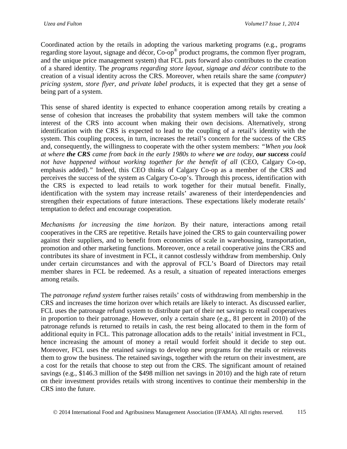Coordinated action by the retails in adopting the various marketing programs (e.g., programs regarding store layout, signage and décor, Co-op® product programs, the common flyer program, and the unique price management system) that FCL puts forward also contributes to the creation of a shared identity. The *programs regarding store layout, signage and décor* contribute to the creation of a visual identity across the CRS. Moreover, when retails share the same *(computer) pricing system, store flyer, and private label products*, it is expected that they get a sense of being part of a system.

This sense of shared identity is expected to enhance cooperation among retails by creating a sense of cohesion that increases the probability that system members will take the common interest of the CRS into account when making their own decisions. Alternatively, strong identification with the CRS is expected to lead to the coupling of a retail's identity with the system. This coupling process, in turn, increases the retail's concern for the success of the CRS and, consequently, the willingness to cooperate with the other system members: *"When you look at where the CRS came from back in the early 1980s to where we are today, our success could not have happened without working together for the benefit of all* (CEO, Calgary Co-op, emphasis added).*"* Indeed, this CEO thinks of Calgary Co-op as a member of the CRS and perceives the success of the system as Calgary Co-op's. Through this process, identification with the CRS is expected to lead retails to work together for their mutual benefit. Finally, identification with the system may increase retails' awareness of their interdependencies and strengthen their expectations of future interactions. These expectations likely moderate retails' temptation to defect and encourage cooperation.

*Mechanisms for increasing the time horizon.* By their nature, interactions among retail cooperatives in the CRS are repetitive. Retails have joined the CRS to gain countervailing power against their suppliers, and to benefit from economies of scale in warehousing, transportation, promotion and other marketing functions. Moreover, once a retail cooperative joins the CRS and contributes its share of investment in FCL, it cannot costlessly withdraw from membership. Only under certain circumstances and with the approval of FCL's Board of Directors may retail member shares in FCL be redeemed. As a result, a situation of repeated interactions emerges among retails.

The *patronage refund system* further raises retails' costs of withdrawing from membership in the CRS and increases the time horizon over which retails are likely to interact. As discussed earlier, FCL uses the patronage refund system to distribute part of their net savings to retail cooperatives in proportion to their patronage. However, only a certain share (e.g., 81 percent in 2010) of the patronage refunds is returned to retails in cash, the rest being allocated to them in the form of additional equity in FCL. This patronage allocation adds to the retails' initial investment in FCL, hence increasing the amount of money a retail would forfeit should it decide to step out. Moreover, FCL uses the retained savings to develop new programs for the retails or reinvests them to grow the business. The retained savings, together with the return on their investment, are a cost for the retails that choose to step out from the CRS. The significant amount of retained savings (e.g., \$146.3 million of the \$498 million net savings in 2010) and the high rate of return on their investment provides retails with strong incentives to continue their membership in the CRS into the future.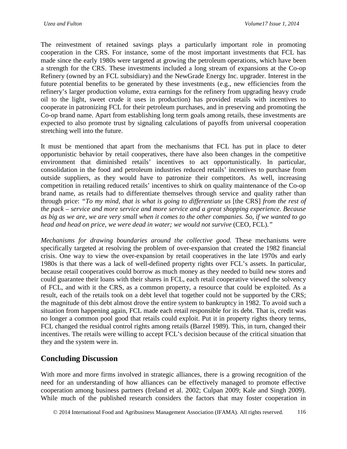The reinvestment of retained savings plays a particularly important role in promoting cooperation in the CRS. For instance, some of the most important investments that FCL has made since the early 1980s were targeted at growing the petroleum operations, which have been a strength for the CRS. These investments included a long stream of expansions at the Co-op Refinery (owned by an FCL subsidiary) and the NewGrade Energy Inc. upgrader. Interest in the future potential benefits to be generated by these investments (e.g., new efficiencies from the refinery's larger production volume, extra earnings for the refinery from upgrading heavy crude oil to the light, sweet crude it uses in production) has provided retails with incentives to cooperate in patronizing FCL for their petroleum purchases, and in preserving and promoting the Co-op brand name. Apart from establishing long term goals among retails, these investments are expected to also promote trust by signaling calculations of payoffs from universal cooperation stretching well into the future.

It must be mentioned that apart from the mechanisms that FCL has put in place to deter opportunistic behavior by retail cooperatives, there have also been changes in the competitive environment that diminished retails' incentives to act opportunistically. In particular, consolidation in the food and petroleum industries reduced retails' incentives to purchase from outside suppliers, as they would have to patronize their competitors. As well, increasing competition in retailing reduced retails' incentives to shirk on quality maintenance of the Co-op brand name, as retails had to differentiate themselves through service and quality rather than through price: *"To my mind, that is what is going to differentiate us* [the CRS] *from the rest of the pack – service and more service and more service and a great shopping experience. Because as big as we are, we are very small when it comes to the other companies. So, if we wanted to go head and head on price, we were dead in water; we would not survive* (CEO, FCL).*"*

*Mechanisms for drawing boundaries around the collective good.* These mechanisms were specifically targeted at resolving the problem of over-expansion that created the 1982 financial crisis. One way to view the over-expansion by retail cooperatives in the late 1970s and early 1980s is that there was a lack of well-defined property rights over FCL's assets. In particular, because retail cooperatives could borrow as much money as they needed to build new stores and could guarantee their loans with their shares in FCL, each retail cooperative viewed the solvency of FCL, and with it the CRS, as a common property, a resource that could be exploited. As a result, each of the retails took on a debt level that together could not be supported by the CRS; the magnitude of this debt almost drove the entire system to bankruptcy in 1982. To avoid such a situation from happening again, FCL made each retail responsible for its debt. That is, credit was no longer a common pool good that retails could exploit. Put it in property rights theory terms, FCL changed the residual control rights among retails (Barzel 1989). This, in turn, changed their incentives. The retails were willing to accept FCL's decision because of the critical situation that they and the system were in.

# **Concluding Discussion**

With more and more firms involved in strategic alliances, there is a growing recognition of the need for an understanding of how alliances can be effectively managed to promote effective cooperation among business partners (Ireland et al. 2002; Culpan 2009; Kale and Singh 2009). While much of the published research considers the factors that may foster cooperation in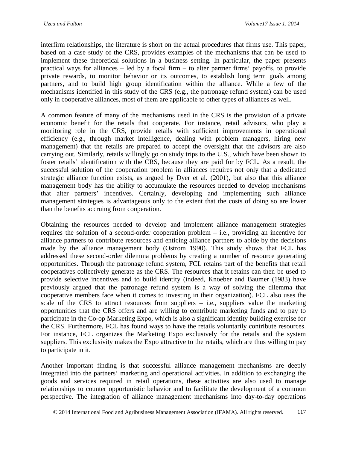interfirm relationships, the literature is short on the actual procedures that firms use. This paper, based on a case study of the CRS, provides examples of the mechanisms that can be used to implement these theoretical solutions in a business setting. In particular, the paper presents practical ways for alliances – led by a focal firm – to alter partner firms' payoffs, to provide private rewards, to monitor behavior or its outcomes, to establish long term goals among partners, and to build high group identification within the alliance. While a few of the mechanisms identified in this study of the CRS (e.g., the patronage refund system) can be used only in cooperative alliances, most of them are applicable to other types of alliances as well.

A common feature of many of the mechanisms used in the CRS is the provision of a private economic benefit for the retails that cooperate. For instance, retail advisors, who play a monitoring role in the CRS, provide retails with sufficient improvements in operational efficiency (e.g., through market intelligence, dealing with problem managers, hiring new management) that the retails are prepared to accept the oversight that the advisors are also carrying out. Similarly, retails willingly go on study trips to the U.S., which have been shown to foster retails' identification with the CRS, because they are paid for by FCL. As a result, the successful solution of the cooperation problem in alliances requires not only that a dedicated strategic alliance function exists, as argued by Dyer et al. (2001), but also that this alliance management body has the ability to accumulate the resources needed to develop mechanisms that alter partners' incentives. Certainly, developing and implementing such alliance management strategies is advantageous only to the extent that the costs of doing so are lower than the benefits accruing from cooperation.

Obtaining the resources needed to develop and implement alliance management strategies requires the solution of a second-order cooperation problem – i.e., providing an incentive for alliance partners to contribute resources and enticing alliance partners to abide by the decisions made by the alliance management body (Ostrom 1990). This study shows that FCL has addressed these second-order dilemma problems by creating a number of resource generating opportunities. Through the patronage refund system, FCL retains part of the benefits that retail cooperatives collectively generate as the CRS. The resources that it retains can then be used to provide selective incentives and to build identity (indeed, Knoeber and Baumer (1983) have previously argued that the patronage refund system is a way of solving the dilemma that cooperative members face when it comes to investing in their organization). FCL also uses the scale of the CRS to attract resources from suppliers  $-$  i.e., suppliers value the marketing opportunities that the CRS offers and are willing to contribute marketing funds and to pay to participate in the Co-op Marketing Expo, which is also a significant identity building exercise for the CRS. Furthermore, FCL has found ways to have the retails voluntarily contribute resources. For instance, FCL organizes the Marketing Expo exclusively for the retails and the system suppliers. This exclusivity makes the Expo attractive to the retails, which are thus willing to pay to participate in it.

Another important finding is that successful alliance management mechanisms are deeply integrated into the partners' marketing and operational activities. In addition to exchanging the goods and services required in retail operations, these activities are also used to manage relationships to counter opportunistic behavior and to facilitate the development of a common perspective. The integration of alliance management mechanisms into day-to-day operations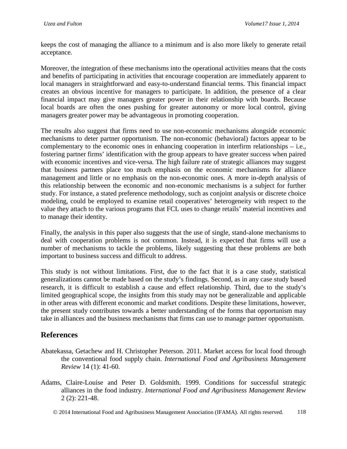keeps the cost of managing the alliance to a minimum and is also more likely to generate retail acceptance.

Moreover, the integration of these mechanisms into the operational activities means that the costs and benefits of participating in activities that encourage cooperation are immediately apparent to local managers in straightforward and easy-to-understand financial terms. This financial impact creates an obvious incentive for managers to participate. In addition, the presence of a clear financial impact may give managers greater power in their relationship with boards. Because local boards are often the ones pushing for greater autonomy or more local control, giving managers greater power may be advantageous in promoting cooperation.

The results also suggest that firms need to use non-economic mechanisms alongside economic mechanisms to deter partner opportunism. The non-economic (behavioral) factors appear to be complementary to the economic ones in enhancing cooperation in interfirm relationships – i.e., fostering partner firms' identification with the group appears to have greater success when paired with economic incentives and vice-versa. The high failure rate of strategic alliances may suggest that business partners place too much emphasis on the economic mechanisms for alliance management and little or no emphasis on the non-economic ones. A more in-depth analysis of this relationship between the economic and non-economic mechanisms is a subject for further study. For instance, a stated preference methodology, such as conjoint analysis or discrete choice modeling, could be employed to examine retail cooperatives' heterogeneity with respect to the value they attach to the various programs that FCL uses to change retails' material incentives and to manage their identity.

Finally, the analysis in this paper also suggests that the use of single, stand-alone mechanisms to deal with cooperation problems is not common. Instead, it is expected that firms will use a number of mechanisms to tackle the problems, likely suggesting that these problems are both important to business success and difficult to address.

This study is not without limitations. First, due to the fact that it is a case study, statistical generalizations cannot be made based on the study's findings. Second, as in any case study based research, it is difficult to establish a cause and effect relationship. Third, due to the study's limited geographical scope, the insights from this study may not be generalizable and applicable in other areas with different economic and market conditions. Despite these limitations, however, the present study contributes towards a better understanding of the forms that opportunism may take in alliances and the business mechanisms that firms can use to manage partner opportunism.

# **References**

- Abatekassa, Getachew and H. Christopher Peterson. 2011. Market access for local food through the conventional food supply chain. *International Food and Agribusiness Management Review* 14 (1): 41-60.
- Adams, Claire-Louise and Peter D. Goldsmith. 1999. Conditions for successful strategic alliances in the food industry. *International Food and Agribusiness Management Review* 2 (2): 221-48.

2014 International Food and Agribusiness Management Association (IFAMA). All rights reserved. 118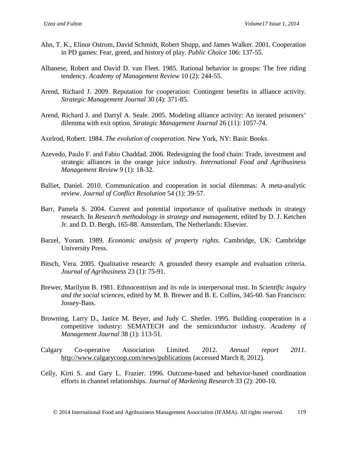- Ahn, T. K., Elinor Ostrom, David Schmidt, Robert Shupp, and James Walker. 2001. Cooperation in PD games: Fear, greed, and history of play. *Public Choice* 106: 137-55.
- Albanese, Robert and David D. van Fleet. 1985. Rational behavior in groups: The free riding tendency. *Academy of Management Review* 10 (2): 244-55.
- Arend, Richard J. 2009. Reputation for cooperation: Contingent benefits in alliance activity. *Strategic Management Journal* 30 (4): 371-85.
- Arend, Richard J. and Darryl A. Seale. 2005. Modeling alliance activity: An iterated prisoners' dilemma with exit option. *Strategic Management Journal* 26 (11): 1057-74.
- Axelrod, Robert. 1984. *The evolution of cooperation.* New York, NY: Basic Books.
- Azevedo, Paulo F. and Fabio Chaddad. 2006. Redesigning the food chain: Trade, investment and strategic alliances in the orange juice industry. *International Food and Agribusiness Management Review* 9 (1): 18-32.
- Balliet, Daniel. 2010. Communication and cooperation in social dilemmas: A meta-analytic review. *Journal of Conflict Resolution* 54 (1): 39-57.
- Barr, Pamela S. 2004. Current and potential importance of qualitative methods in strategy research. In *Research methodology in strategy and management*, edited by D. J. Ketchen Jr. and D. D. Bergh, 165-88. Amsterdam, The Netherlands: Elsevier.
- Barzel, Yoram. 1989. *Economic analysis of property rights*. Cambridge, UK: Cambridge University Press.
- Bitsch, Vera. 2005. Qualitative research: A grounded theory example and evaluation criteria. *Journal of Agribusiness* 23 (1): 75-91.
- Brewer, Marilynn B. 1981. Ethnocentrism and its role in interpersonal trust. In *Scientific inquiry and the social sciences*, edited by M. B. Brewer and B. E. Collins, 345-60. San Francisco: Jossey-Bass.
- Browning, Larry D., Janice M. Beyer, and Judy C. Shetler. 1995. Building cooperation in a competitive industry: SEMATECH and the semiconductor industry. *Academy of Management Journal* 38 (1): 113-51.
- Calgary Co-operative Association Limited. 2012. *Annual report 2011*. <http://www.calgarycoop.com/news/publications> (accessed March 8, 2012).
- Celly, Kirti S. and Gary L. Frazier. 1996. Outcome-based and behavior-based coordination efforts in channel relationships. *Journal of Marketing Research* 33 (2): 200-10.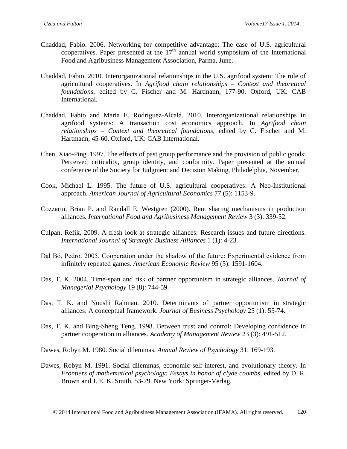- Chaddad, Fabio. 2006. Networking for competitive advantage: The case of U.S. agricultural cooperatives. Paper presented at the 17<sup>th</sup> annual world symposium of the International Food and Agribusiness Management Association, Parma, June.
- Chaddad, Fabio. 2010. Interorganizational relationships in the U.S. agrifood system: The role of agricultural cooperatives. In *Agrifood chain relationships – Context and theoretical foundations*, edited by C. Fischer and M. Hartmann, 177-90. Oxford, UK: CAB International.
- Chaddad, Fabio and Maria E. Rodriguez-Alcalá. 2010. Interorganizational relationships in agrifood systems: A transaction cost economics approach. In *Agrifood chain relationships – Context and theoretical foundations*, edited by C. Fischer and M. Hartmann, 45-60. Oxford, UK: CAB International.
- Chen, Xiao-Ping. 1997. The effects of past group performance and the provision of public goods: Perceived criticality, group identity, and conformity. Paper presented at the annual conference of the Society for Judgment and Decision Making, Philadelphia, November.
- Cook, Michael L. 1995. The future of U.S. agricultural cooperatives: A Neo-Institutional approach. *American Journal of Agricultural Economics* 77 (5): 1153-9.
- Cozzarin, Brian P. and Randall E. Westgren (2000). Rent sharing mechanisms in production alliances. *International Food and Agribusiness Management Review* 3 (3): 339-52.
- Culpan, Refik. 2009. A fresh look at strategic alliances: Research issues and future directions. *International Journal of Strategic Business Alliances* 1 (1): 4-23.
- Dal Bό, Pedro. 2005. Cooperation under the shadow of the future: Experimental evidence from infinitely repeated games. *American Economic Review* 95 (5): 1591-1604.
- Das, T. K. 2004. Time-span and risk of partner opportunism in strategic alliances. *Journal of Managerial Psychology* 19 (8): 744-59.
- Das, T. K. and Noushi Rahman. 2010. Determinants of partner opportunism in strategic alliances: A conceptual framework. *Journal of Business Psychology* 25 (1): 55-74.
- Das, T. K. and Bing-Sheng Teng. 1998. Between trust and control: Developing confidence in partner cooperation in alliances. *Academy of Management Review* 23 (3): 491-512.

Dawes, Robyn M. 1980. Social dilemmas. *Annual Review of Psychology* 31: 169-193.

Dawes, Robyn M. 1991. Social dilemmas, economic self-interest, and evolutionary theory. In *Frontiers of mathematical psychology: Essays in honor of clyde coombs*, edited by D. R. Brown and J. E. K. Smith, 53-79. New York: Springer-Verlag.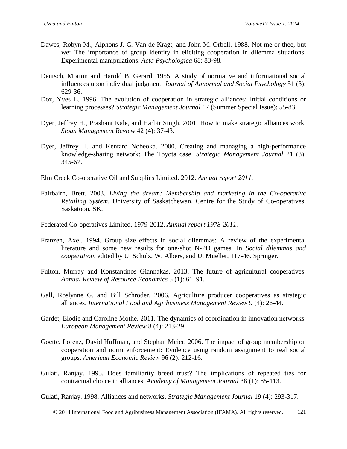- Dawes, Robyn M., Alphons J. C. Van de Kragt, and John M. Orbell. 1988. Not me or thee, but we: The importance of group identity in eliciting cooperation in dilemma situations: Experimental manipulations. *Acta Psychologica* 68: 83-98.
- Deutsch, Morton and Harold B. Gerard. 1955. A study of normative and informational social influences upon individual judgment. *Journal of Abnormal and Social Psychology* 51 (3): 629-36.
- Doz, Yves L. 1996. The evolution of cooperation in strategic alliances: Initial conditions or learning processes? *Strategic Management Journal* 17 (Summer Special Issue): 55-83.
- Dyer, Jeffrey H., Prashant Kale, and Harbir Singh. 2001. How to make strategic alliances work. *Sloan Management Review* 42 (4): 37-43.
- Dyer, Jeffrey H. and Kentaro Nobeoka. 2000. Creating and managing a high-performance knowledge-sharing network: The Toyota case. *Strategic Management Journal* 21 (3): 345-67.

Elm Creek Co-operative Oil and Supplies Limited. 2012. *Annual report 2011.*

Fairbairn, Brett. 2003. *Living the dream: Membership and marketing in the Co-operative Retailing System*. University of Saskatchewan, Centre for the Study of Co-operatives, Saskatoon, SK.

Federated Co-operatives Limited. 1979-2012. *Annual report 1978-2011.*

- Franzen, Axel. 1994. Group size effects in social dilemmas: A review of the experimental literature and some new results for one-shot N-PD games. In *Social dilemmas and cooperation*, edited by [U. Schulz,](http://link.springer.com/search?facet-author=%22Professor+Dr.+Ulrich+Schulz%22) [W. Albers,](http://link.springer.com/search?facet-author=%22Professor+Dr.+Wulf+Albers%22) and [U. Mueller,](http://link.springer.com/search?facet-author=%22PD+Dr.+Dr.+Ulrich+Mueller%22) 117-46. Springer.
- Fulton, Murray and Konstantinos Giannakas. 2013. The future of agricultural cooperatives. *Annual Review of Resource Economics* 5 (1): 61–91.
- Gall, Roslynne G. and Bill Schroder. 2006. Agriculture producer cooperatives as strategic alliances. *International Food and Agribusiness Management Review* 9 (4): 26-44.
- Gardet, Elodie and Caroline Mothe. 2011. The dynamics of coordination in innovation networks. *European Management Review* 8 (4): 213-29.
- Goette, Lorenz, David Huffman, and Stephan Meier. 2006. The impact of group membership on cooperation and norm enforcement: Evidence using random assignment to real social groups. *American Economic Review* 96 (2): 212-16.
- Gulati, Ranjay. 1995. Does familiarity breed trust? The implications of repeated ties for contractual choice in alliances. *Academy of Management Journal* 38 (1): 85-113.

Gulati, Ranjay. 1998. Alliances and networks. *Strategic Management Journal* 19 (4): 293-317.

2014 International Food and Agribusiness Management Association (IFAMA). All rights reserved. 121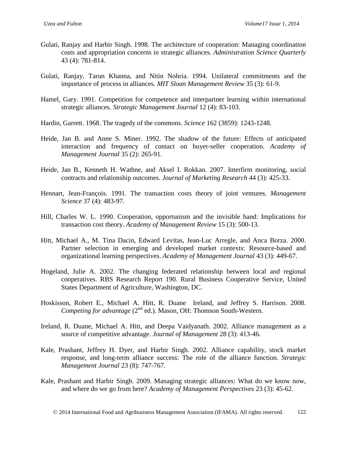- Gulati, Ranjay and Harbir Singh. 1998. The architecture of cooperation: Managing coordination costs and appropriation concerns in strategic alliances. *Administration Science Quarterly* 43 (4): 781-814.
- Gulati, Ranjay, Tarun Khanna, and Nitin Nohria. 1994. Unilateral commitments and the importance of process in alliances. *MIT Sloan Management Review* 35 (3): 61-9.
- Hamel, Gary. 1991. Competition for competence and interpartner learning within international strategic alliances. *Strategic Management Journal* 12 (4): 83-103.
- Hardin, Garrett. 1968. The tragedy of the commons. *Science* 162 (3859): 1243-1248.
- Heide, Jan B. and Anne S. Miner. 1992. The shadow of the future: Effects of anticipated interaction and frequency of contact on buyer-seller cooperation. *Academy of Management Journal* 35 (2): 265-91.
- Heide, Jan B., Kenneth H. Wathne, and Aksel I. Rokkan. 2007. Interfirm monitoring, social contracts and relationship outcomes. *Journal of Marketing Research* 44 (3): 425-33.
- Hennart, Jean-François. 1991. The transaction costs theory of joint ventures. *Management Science* 37 (4): 483-97.
- Hill, Charles W. L. 1990. Cooperation, opportunism and the invisible hand: Implications for transaction cost theory. *Academy of Management Review* 15 (3): 500-13.
- Hitt, Michael A., M. Tina Dacin, Edward Levitas, Jean-Luc Arregle, and Anca Borza. 2000. Partner selection in emerging and developed market contexts: Resource-based and organizational learning perspectives. *Academy of Management Journal* 43 (3): 449-67.
- Hogeland, Julie A. 2002. The changing federated relationship between local and regional cooperatives. RBS Research Report 190. Rural Business Cooperative Service, United States Department of Agriculture, Washington, DC.
- Hoskisson, Robert E., Michael A. Hitt, R. Duane Ireland, and Jeffrey S. Harrison. 2008. *Competing for advantage* (2<sup>nd</sup> ed.). Mason, OH: Thomson South-Western.
- Ireland, R. Duane, Michael A. Hitt, and Deepa Vaidyanath. 2002. Alliance management as a source of competitive advantage. *Journal of Management* 28 (3): 413-46.
- Kale, Prashant, Jeffrey H. Dyer, and Harbir Singh. 2002. Alliance capability, stock market response, and long-term alliance success: The role of the alliance function. *Strategic Management Journal* 23 (8): 747-767.
- Kale, Prashant and Harbir Singh. 2009. Managing strategic alliances: What do we know now, and where do we go from here? *Academy of Management Perspectives* 23 (3): 45-62.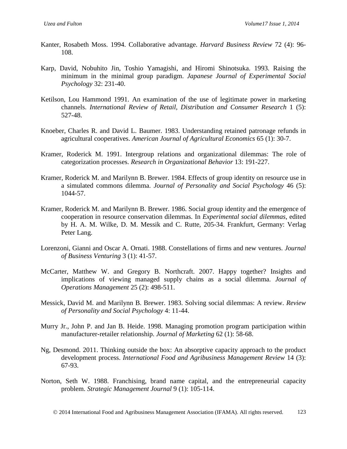- Kanter, Rosabeth Moss. 1994. Collaborative advantage. *Harvard Business Review* 72 (4): 96- 108.
- Karp, David, Nobuhito Jin, Toshio Yamagishi, and Hiromi Shinotsuka. 1993. Raising the minimum in the minimal group paradigm. *Japanese Journal of Experimental Social Psychology* 32: 231-40.
- Ketilson, Lou Hammond 1991. An examination of the use of legitimate power in marketing channels. *International Review of Retail, Distribution and Consumer Research* 1 (5): 527-48.
- Knoeber, Charles R. and David L. Baumer. 1983. Understanding retained patronage refunds in agricultural cooperatives. *American Journal of Agricultural Economics* 65 (1): 30-7.
- Kramer, Roderick M. 1991. Intergroup relations and organizational dilemmas: The role of categorization processes. *Research in Organizational Behavior* 13: 191-227.
- Kramer, Roderick M. and Marilynn B. Brewer. 1984. Effects of group identity on resource use in a simulated commons dilemma. *Journal of Personality and Social Psychology* 46 (5): 1044-57.
- Kramer, Roderick M. and Marilynn B. Brewer. 1986. Social group identity and the emergence of cooperation in resource conservation dilemmas. In *Experimental social dilemmas*, edited by H. A. M. Wilke, D. M. Messik and C. Rutte, 205-34. Frankfurt, Germany: Verlag Peter Lang.
- Lorenzoni, Gianni and Oscar A. Ornati. 1988. Constellations of firms and new ventures. *Journal of Business Venturing* 3 (1): 41-57.
- McCarter, Matthew W. and Gregory B. Northcraft. 2007. Happy together? Insights and implications of viewing managed supply chains as a social dilemma. *Journal of Operations Management* 25 (2): 498-511.
- Messick, David M. and Marilynn B. Brewer. 1983. Solving social dilemmas: A review. *Review of Personality and Social Psychology* 4: 11-44.
- Murry Jr., John P. and Jan B. Heide. 1998. Managing promotion program participation within manufacturer-retailer relationship. *Journal of Marketing* 62 (1): 58-68.
- Ng, Desmond. 2011. Thinking outside the box: An absorptive capacity approach to the product development process. *International Food and Agribusiness Management Review* 14 (3): 67-93.
- Norton, Seth W. 1988. Franchising, brand name capital, and the entrepreneurial capacity problem. *Strategic Management Journal* 9 (1): 105-114.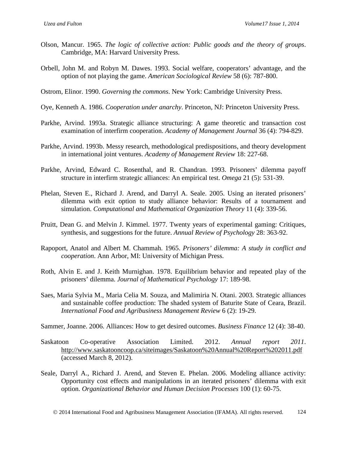- Olson, Mancur. 1965. *The logic of collective action: Public goods and the theory of groups*. Cambridge, MA: Harvard University Press.
- Orbell, John M. and Robyn M. Dawes. 1993. Social welfare, cooperators' advantage, and the option of not playing the game. *American Sociological Review* 58 (6): 787-800.

Ostrom, Elinor. 1990. *Governing the commons*. New York: Cambridge University Press.

- Oye, Kenneth A. 1986. *Cooperation under anarchy*. Princeton, NJ: Princeton University Press.
- Parkhe, Arvind. 1993a. Strategic alliance structuring: A game theoretic and transaction cost examination of interfirm cooperation. *Academy of Management Journal* 36 (4): 794-829.
- Parkhe, Arvind. 1993b. Messy research, methodological predispositions, and theory development in international joint ventures. *Academy of Management Review* 18: 227-68.
- Parkhe, Arvind, Edward C. Rosenthal, and R. Chandran. 1993. Prisoners' dilemma payoff structure in interfirm strategic alliances: An empirical test. *Omega* 21 (5): 531-39.
- Phelan, Steven E., Richard J. Arend, and Darryl A. Seale. 2005. Using an iterated prisoners' dilemma with exit option to study alliance behavior: Results of a tournament and simulation. *Computational and Mathematical Organization Theory* 11 (4): 339-56.
- Pruitt, Dean G. and Melvin J. Kimmel. 1977. Twenty years of experimental gaming: Critiques, synthesis, and suggestions for the future. *Annual Review of Psychology* 28: 363-92.
- Rapoport, Anatol and Albert M. Chammah. 1965. *Prisoners' dilemma: A study in conflict and cooperation*. Ann Arbor, MI: University of Michigan Press.
- Roth, Alvin E. and J. Keith Murnighan. 1978. Equilibrium behavior and repeated play of the prisoners' dilemma. *Journal of Mathematical Psychology* 17: 189-98.
- Saes, Maria Sylvia M., Maria Celia M. Souza, and Malimiria N. Otani. 2003. Strategic alliances and sustainable coffee production: The shaded system of Baturite State of Ceara, Brazil. *International Food and Agribusiness Management Review* 6 (2): 19-29.

Sammer, Joanne. 2006. Alliances: How to get desired outcomes. *Business Finance* 12 (4): 38-40.

- Saskatoon Co-operative Association Limited. 2012. *Annual report 2011*. <http://www.saskatooncoop.ca/siteimages/Saskatoon%20Annual%20Report%202011.pdf> (accessed March 8, 2012).
- Seale, Darryl A., Richard J. Arend, and Steven E. Phelan. 2006. Modeling alliance activity: Opportunity cost effects and manipulations in an iterated prisoners' dilemma with exit option. *Organizational Behavior and Human Decision Processes* 100 (1): 60-75.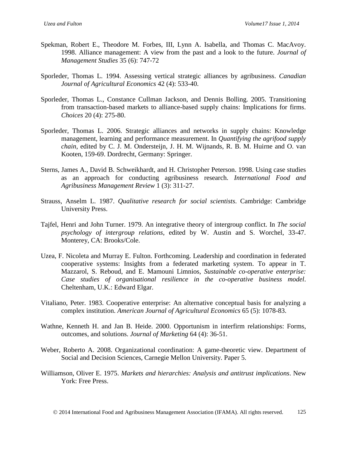- Spekman, Robert E., Theodore M. Forbes, III, Lynn A. Isabella, and Thomas C. MacAvoy. 1998. Alliance management: A view from the past and a look to the future. *Journal of Management Studies* 35 (6): 747-72
- Sporleder, Thomas L. 1994. Assessing vertical strategic alliances by agribusiness. *Canadian Journal of Agricultural Economics* 42 (4): 533-40.
- Sporleder, Thomas L., Constance Cullman Jackson, and Dennis Bolling. 2005. Transitioning from transaction-based markets to alliance-based supply chains: Implications for firms. *Choices* 20 (4): 275-80.
- Sporleder, Thomas L. 2006. Strategic alliances and networks in supply chains: Knowledge management, learning and performance measurement. In *Quantifying the agrifood supply chain*, edited by C. J. M. Ondersteijn, J. H. M. Wijnands, R. B. M. Huirne and O. van Kooten, 159-69. Dordrecht, Germany: Springer.
- Sterns, James A., David B. Schweikhardt, and H. Christopher Peterson. 1998. Using case studies as an approach for conducting agribusiness research. *International Food and Agribusiness Management Review* 1 (3): 311-27.
- Strauss, Anselm L. 1987. *Qualitative research for social scientists*. Cambridge: Cambridge University Press.
- Tajfel, Henri and John Turner. 1979. An integrative theory of intergroup conflict. In *The social psychology of intergroup relations*, edited by W. Austin and S. Worchel, 33-47. Monterey, CA: Brooks/Cole.
- Uzea, F. Nicoleta and Murray E. Fulton. Forthcoming. Leadership and coordination in federated cooperative systems: Insights from a federated marketing system. To appear in T. Mazzarol, S. Reboud, and E. Mamouni Limnios, *Sustainable co-operative enterprise: Case studies of organisational resilience in the co-operative business model*. Cheltenham, U.K.: Edward Elgar.
- Vitaliano, Peter. 1983. Cooperative enterprise: An alternative conceptual basis for analyzing a complex institution. *American Journal of Agricultural Economics* 65 (5): 1078-83.
- Wathne, Kenneth H. and Jan B. Heide. 2000. Opportunism in interfirm relationships: Forms, outcomes, and solutions. *Journal of Marketing* 64 (4): 36-51.
- Weber, Roberto A. 2008. Organizational coordination: A game-theoretic view. Department of Social and Decision Sciences, Carnegie Mellon University. Paper 5.
- Williamson, Oliver E. 1975. *Markets and hierarchies: Analysis and antitrust implications*. New York: Free Press.